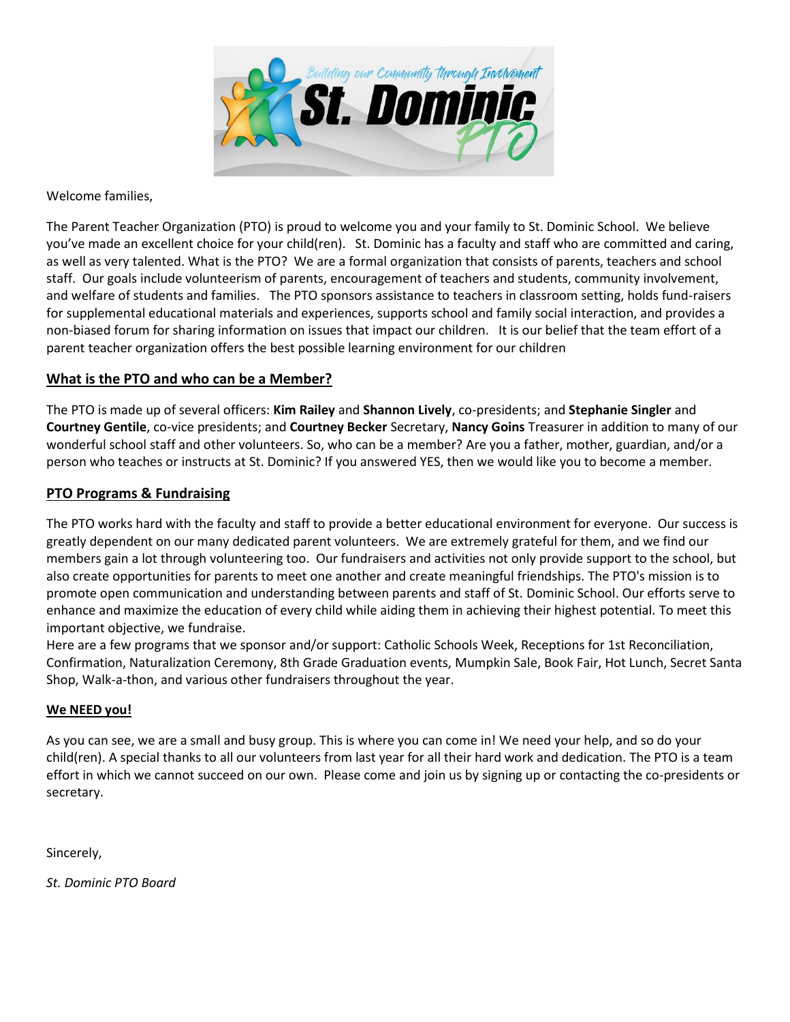

Welcome families,

The Parent Teacher Organization (PTO) is proud to welcome you and your family to St. Dominic School. We believe you've made an excellent choice for your child(ren). St. Dominic has a faculty and staff who are committed and caring, as well as very talented. What is the PTO? We are a formal organization that consists of parents, teachers and school staff. Our goals include volunteerism of parents, encouragement of teachers and students, community involvement, and welfare of students and families. The PTO sponsors assistance to teachers in classroom setting, holds fund-raisers for supplemental educational materials and experiences, supports school and family social interaction, and provides a non-biased forum for sharing information on issues that impact our children. It is our belief that the team effort of a parent teacher organization offers the best possible learning environment for our children

## **What is the PTO and who can be a Member?**

The PTO is made up of several officers: **Kim Railey** and **Shannon Lively**, co-presidents; and **Stephanie Singler** and **Courtney Gentile**, co-vice presidents; and **Courtney Becker** Secretary, **Nancy Goins** Treasurer in addition to many of our wonderful school staff and other volunteers. So, who can be a member? Are you a father, mother, guardian, and/or a person who teaches or instructs at St. Dominic? If you answered YES, then we would like you to become a member.

## **PTO Programs & Fundraising**

The PTO works hard with the faculty and staff to provide a better educational environment for everyone. Our success is greatly dependent on our many dedicated parent volunteers. We are extremely grateful for them, and we find our members gain a lot through volunteering too. Our fundraisers and activities not only provide support to the school, but also create opportunities for parents to meet one another and create meaningful friendships. The PTO's mission is to promote open communication and understanding between parents and staff of St. Dominic School. Our efforts serve to enhance and maximize the education of every child while aiding them in achieving their highest potential. To meet this important objective, we fundraise.

Here are a few programs that we sponsor and/or support: Catholic Schools Week, Receptions for 1st Reconciliation, Confirmation, Naturalization Ceremony, 8th Grade Graduation events, Mumpkin Sale, Book Fair, Hot Lunch, Secret Santa Shop, Walk-a-thon, and various other fundraisers throughout the year.

## **We NEED you!**

As you can see, we are a small and busy group. This is where you can come in! We need your help, and so do your child(ren). A special thanks to all our volunteers from last year for all their hard work and dedication. The PTO is a team effort in which we cannot succeed on our own. Please come and join us by signing up or contacting the co-presidents or secretary.

Sincerely,

*St. Dominic PTO Board*